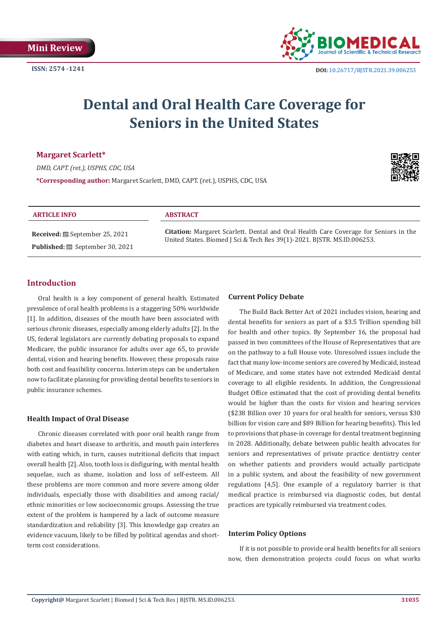

# **Dental and Oral Health Care Coverage for Seniors in the United States**

# **Margaret Scarlett\***

*DMD, CAPT. (ret.), USPHS, CDC, USA* **\*Corresponding author:** Margaret Scarlett, DMD, CAPT. (ret.), USPHS, CDC, USA



#### **ARTICLE INFO ABSTRACT**

**Received:** September 25, 2021 Published: **is** September 30, 2021

**Citation:** Margaret Scarlett. Dental and Oral Health Care Coverage for Seniors in the United States. Biomed J Sci & Tech Res 39(1)-2021. BJSTR. MS.ID.006253.

# **Introduction**

Oral health is a key component of general health. Estimated prevalence of oral health problems is a staggering 50% worldwide [1]. In addition, diseases of the mouth have been associated with serious chronic diseases, especially among elderly adults [2]. In the US, federal legislators are currently debating proposals to expand Medicare, the public insurance for adults over age 65, to provide dental, vision and hearing benefits. However, these proposals raise both cost and feasibility concerns. Interim steps can be undertaken now to facilitate planning for providing dental benefits to seniors in public insurance schemes.

# **Health Impact of Oral Disease**

Chronic diseases correlated with poor oral health range from diabetes and heart disease to arthritis, and mouth pain interferes with eating which, in turn, causes nutritional deficits that impact overall health [2]. Also, tooth loss is disfiguring, with mental health sequelae, such as shame, isolation and loss of self-esteem. All these problems are more common and more severe among older individuals, especially those with disabilities and among racial/ ethnic minorities or low socioeconomic groups. Assessing the true extent of the problem is hampered by a lack of outcome measure standardization and reliability [3]. This knowledge gap creates an evidence vacuum, likely to be filled by political agendas and shortterm cost considerations.

### **Current Policy Debate**

The Build Back Better Act of 2021 includes vision, hearing and dental benefits for seniors as part of a \$3.5 Trillion spending bill for health and other topics. By September 16, the proposal had passed in two committees of the House of Representatives that are on the pathway to a full House vote. Unresolved issues include the fact that many low-income seniors are covered by Medicaid, instead of Medicare, and some states have not extended Medicaid dental coverage to all eligible residents. In addition, the Congressional Budget Office estimated that the cost of providing dental benefits would be higher than the costs for vision and hearing services (\$238 Billion over 10 years for oral health for seniors, versus \$30 billion for vision care and \$89 Billion for hearing benefits). This led to provisions that phase-in coverage for dental treatment beginning in 2028. Additionally, debate between public health advocates for seniors and representatives of private practice dentistry center on whether patients and providers would actually participate in a public system, and about the feasibility of new government regulations [4,5]. One example of a regulatory barrier is that medical practice is reimbursed via diagnostic codes, but dental practices are typically reimbursed via treatment codes.

#### **Interim Policy Options**

If it is not possible to provide oral health benefits for all seniors now, then demonstration projects could focus on what works